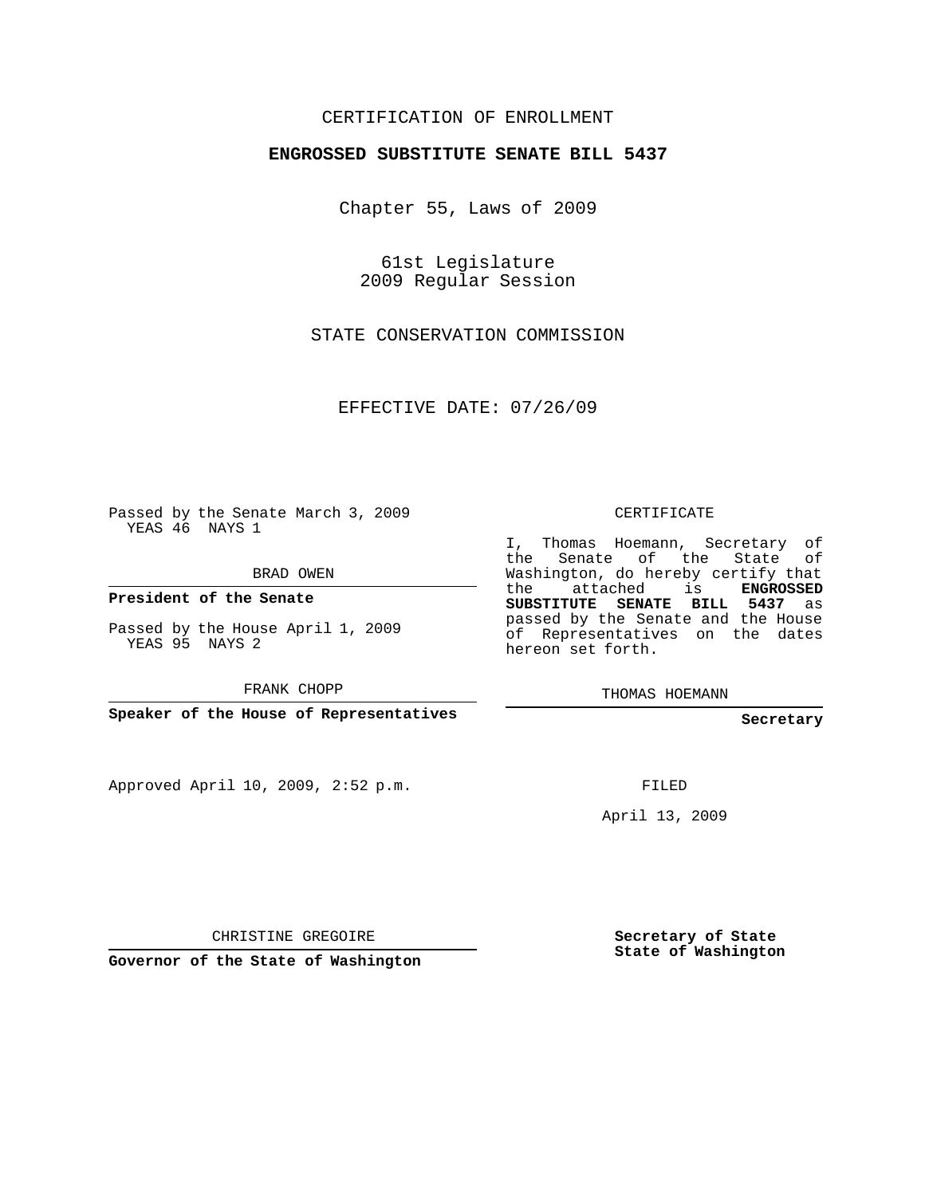## CERTIFICATION OF ENROLLMENT

## **ENGROSSED SUBSTITUTE SENATE BILL 5437**

Chapter 55, Laws of 2009

61st Legislature 2009 Regular Session

STATE CONSERVATION COMMISSION

EFFECTIVE DATE: 07/26/09

Passed by the Senate March 3, 2009 YEAS 46 NAYS 1

BRAD OWEN

**President of the Senate**

Passed by the House April 1, 2009 YEAS 95 NAYS 2

FRANK CHOPP

**Speaker of the House of Representatives**

Approved April 10, 2009, 2:52 p.m.

CERTIFICATE

I, Thomas Hoemann, Secretary of the Senate of the State of Washington, do hereby certify that the attached is **ENGROSSED SUBSTITUTE SENATE BILL 5437** as passed by the Senate and the House of Representatives on the dates hereon set forth.

THOMAS HOEMANN

**Secretary**

FILED

April 13, 2009

CHRISTINE GREGOIRE

**Governor of the State of Washington**

**Secretary of State State of Washington**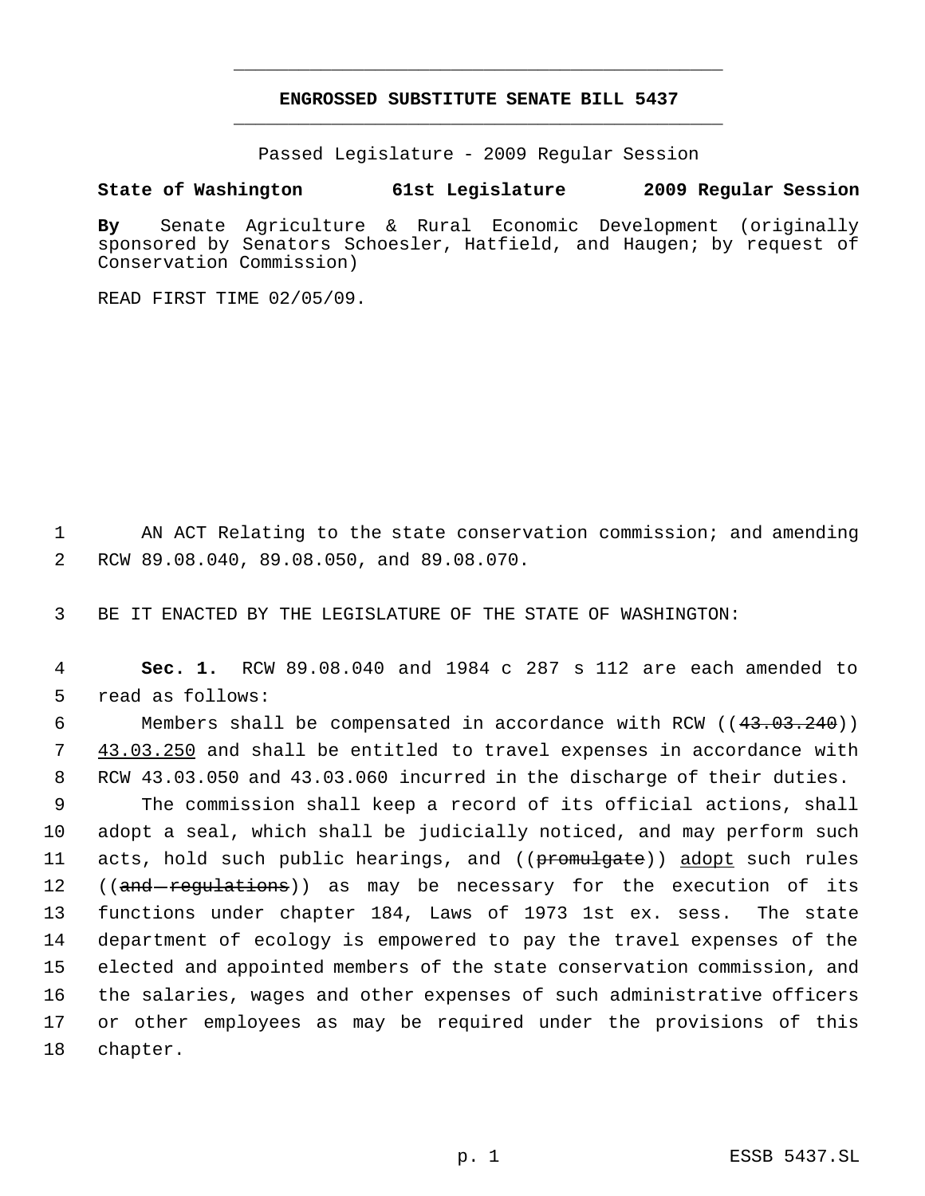## **ENGROSSED SUBSTITUTE SENATE BILL 5437** \_\_\_\_\_\_\_\_\_\_\_\_\_\_\_\_\_\_\_\_\_\_\_\_\_\_\_\_\_\_\_\_\_\_\_\_\_\_\_\_\_\_\_\_\_

\_\_\_\_\_\_\_\_\_\_\_\_\_\_\_\_\_\_\_\_\_\_\_\_\_\_\_\_\_\_\_\_\_\_\_\_\_\_\_\_\_\_\_\_\_

Passed Legislature - 2009 Regular Session

## **State of Washington 61st Legislature 2009 Regular Session**

**By** Senate Agriculture & Rural Economic Development (originally sponsored by Senators Schoesler, Hatfield, and Haugen; by request of Conservation Commission)

READ FIRST TIME 02/05/09.

 1 AN ACT Relating to the state conservation commission; and amending 2 RCW 89.08.040, 89.08.050, and 89.08.070.

3 BE IT ENACTED BY THE LEGISLATURE OF THE STATE OF WASHINGTON:

- 4 **Sec. 1.** RCW 89.08.040 and 1984 c 287 s 112 are each amended to 5 read as follows:
- 6 Members shall be compensated in accordance with RCW ((43.03.240)) 7 43.03.250 and shall be entitled to travel expenses in accordance with 8 RCW 43.03.050 and 43.03.060 incurred in the discharge of their duties.
- 9 The commission shall keep a record of its official actions, shall 10 adopt a seal, which shall be judicially noticed, and may perform such 11 acts, hold such public hearings, and ((promulgate)) adopt such rules 12 ((and regulations)) as may be necessary for the execution of its 13 functions under chapter 184, Laws of 1973 1st ex. sess. The state 14 department of ecology is empowered to pay the travel expenses of the 15 elected and appointed members of the state conservation commission, and 16 the salaries, wages and other expenses of such administrative officers 17 or other employees as may be required under the provisions of this 18 chapter.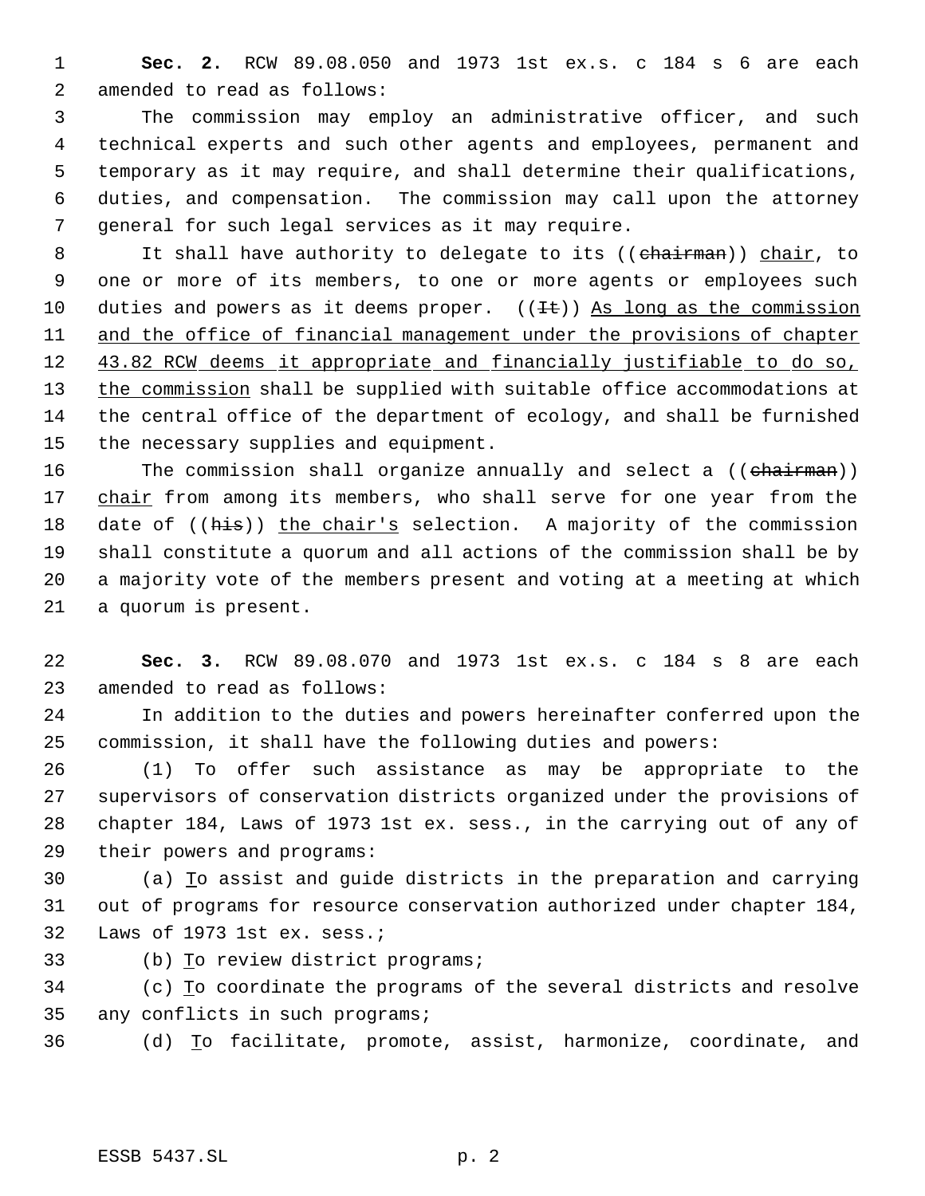**Sec. 2.** RCW 89.08.050 and 1973 1st ex.s. c 184 s 6 are each amended to read as follows:

 The commission may employ an administrative officer, and such technical experts and such other agents and employees, permanent and temporary as it may require, and shall determine their qualifications, duties, and compensation. The commission may call upon the attorney general for such legal services as it may require.

8 It shall have authority to delegate to its ((chairman)) chair, to one or more of its members, to one or more agents or employees such 10 duties and powers as it deems proper.  $((\pm \epsilon))$  As long as the commission 11 and the office of financial management under the provisions of chapter 12 43.82 RCW deems it appropriate and financially justifiable to do so, 13 the commission shall be supplied with suitable office accommodations at the central office of the department of ecology, and shall be furnished the necessary supplies and equipment.

16 The commission shall organize annually and select a ((chairman)) 17 chair from among its members, who shall serve for one year from the 18 date of  $((\frac{h}{h+1}s))$  the chair's selection. A majority of the commission shall constitute a quorum and all actions of the commission shall be by a majority vote of the members present and voting at a meeting at which a quorum is present.

 **Sec. 3.** RCW 89.08.070 and 1973 1st ex.s. c 184 s 8 are each amended to read as follows:

 In addition to the duties and powers hereinafter conferred upon the commission, it shall have the following duties and powers:

 (1) To offer such assistance as may be appropriate to the supervisors of conservation districts organized under the provisions of chapter 184, Laws of 1973 1st ex. sess., in the carrying out of any of their powers and programs:

 (a) To assist and guide districts in the preparation and carrying out of programs for resource conservation authorized under chapter 184, Laws of 1973 1st ex. sess.;

(b) To review district programs;

 (c) To coordinate the programs of the several districts and resolve any conflicts in such programs;

(d) To facilitate, promote, assist, harmonize, coordinate, and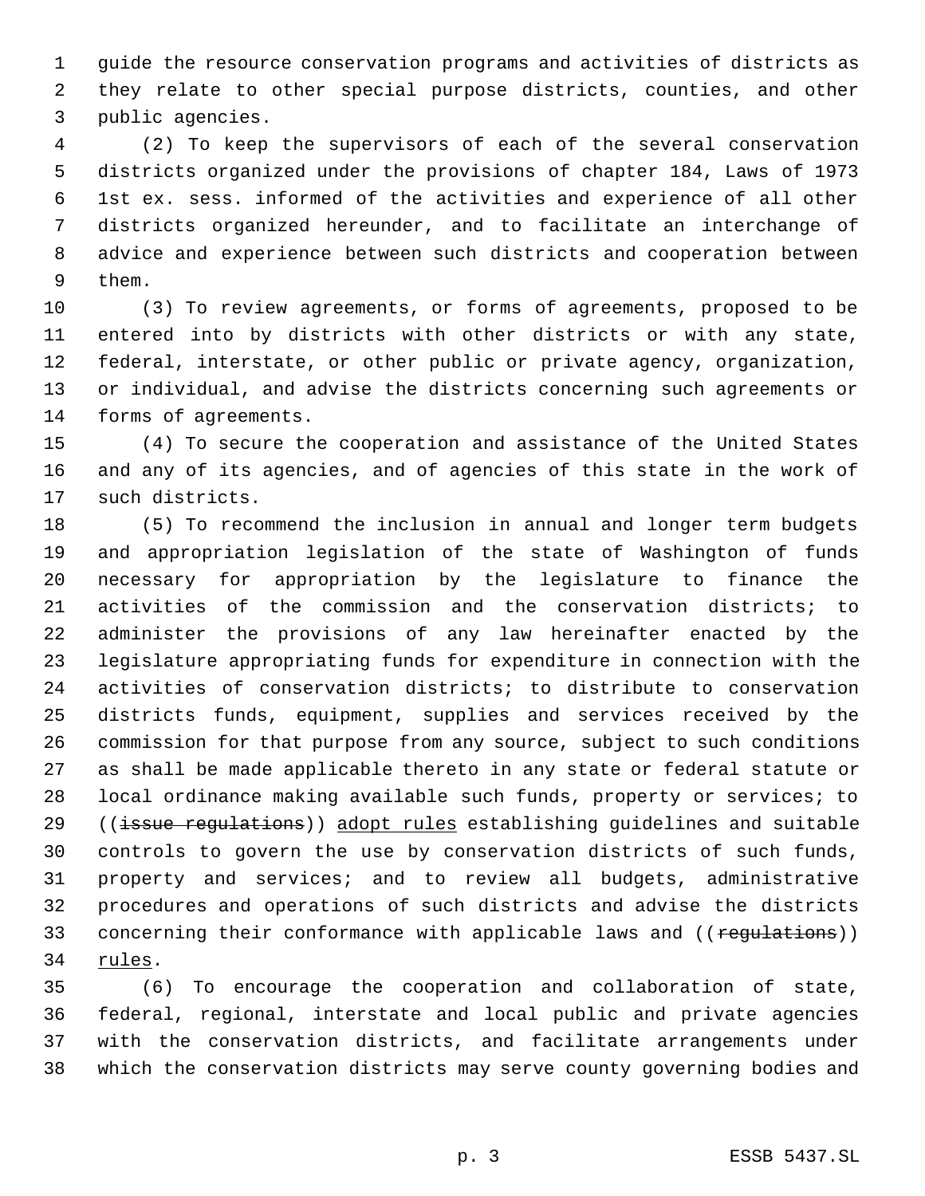guide the resource conservation programs and activities of districts as they relate to other special purpose districts, counties, and other public agencies.

 (2) To keep the supervisors of each of the several conservation districts organized under the provisions of chapter 184, Laws of 1973 1st ex. sess. informed of the activities and experience of all other districts organized hereunder, and to facilitate an interchange of advice and experience between such districts and cooperation between them.

 (3) To review agreements, or forms of agreements, proposed to be entered into by districts with other districts or with any state, federal, interstate, or other public or private agency, organization, or individual, and advise the districts concerning such agreements or forms of agreements.

 (4) To secure the cooperation and assistance of the United States and any of its agencies, and of agencies of this state in the work of such districts.

 (5) To recommend the inclusion in annual and longer term budgets and appropriation legislation of the state of Washington of funds necessary for appropriation by the legislature to finance the activities of the commission and the conservation districts; to administer the provisions of any law hereinafter enacted by the legislature appropriating funds for expenditure in connection with the activities of conservation districts; to distribute to conservation districts funds, equipment, supplies and services received by the commission for that purpose from any source, subject to such conditions as shall be made applicable thereto in any state or federal statute or local ordinance making available such funds, property or services; to 29 ((issue requiations)) adopt rules establishing quidelines and suitable controls to govern the use by conservation districts of such funds, property and services; and to review all budgets, administrative procedures and operations of such districts and advise the districts 33 concerning their conformance with applicable laws and ((regulations)) rules.

 (6) To encourage the cooperation and collaboration of state, federal, regional, interstate and local public and private agencies with the conservation districts, and facilitate arrangements under which the conservation districts may serve county governing bodies and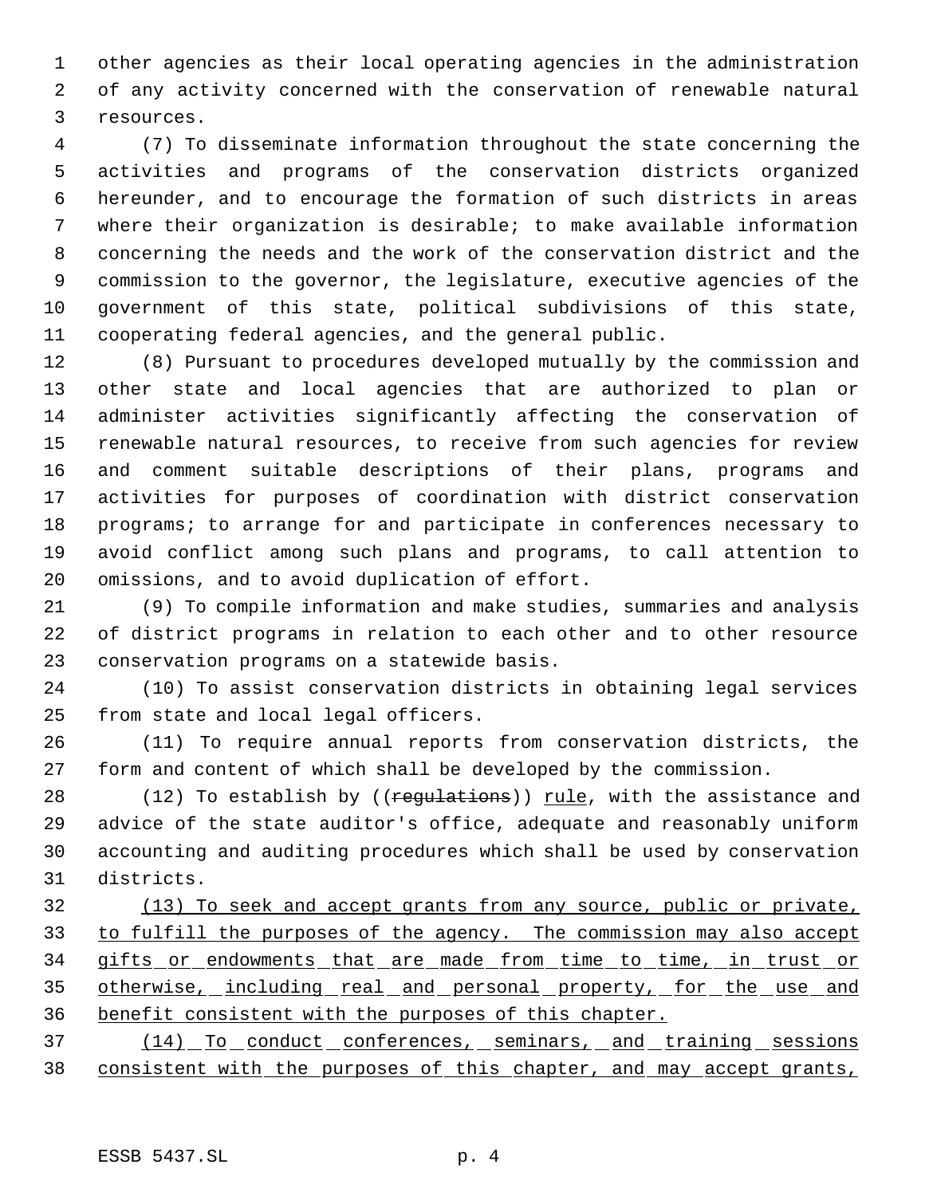other agencies as their local operating agencies in the administration of any activity concerned with the conservation of renewable natural resources.

 (7) To disseminate information throughout the state concerning the activities and programs of the conservation districts organized hereunder, and to encourage the formation of such districts in areas where their organization is desirable; to make available information concerning the needs and the work of the conservation district and the commission to the governor, the legislature, executive agencies of the government of this state, political subdivisions of this state, cooperating federal agencies, and the general public.

 (8) Pursuant to procedures developed mutually by the commission and other state and local agencies that are authorized to plan or administer activities significantly affecting the conservation of renewable natural resources, to receive from such agencies for review and comment suitable descriptions of their plans, programs and activities for purposes of coordination with district conservation programs; to arrange for and participate in conferences necessary to avoid conflict among such plans and programs, to call attention to omissions, and to avoid duplication of effort.

 (9) To compile information and make studies, summaries and analysis of district programs in relation to each other and to other resource conservation programs on a statewide basis.

 (10) To assist conservation districts in obtaining legal services from state and local legal officers.

 (11) To require annual reports from conservation districts, the form and content of which shall be developed by the commission.

28 (12) To establish by ((regulations)) rule, with the assistance and advice of the state auditor's office, adequate and reasonably uniform accounting and auditing procedures which shall be used by conservation districts.

 (13) To seek and accept grants from any source, public or private, to fulfill the purposes of the agency. The commission may also accept gifts or endowments that are made from time to time, in trust or 35 otherwise, including real and personal property, for the use and benefit consistent with the purposes of this chapter.

37 (14) To conduct conferences, seminars, and training sessions consistent with the purposes of this chapter, and may accept grants,